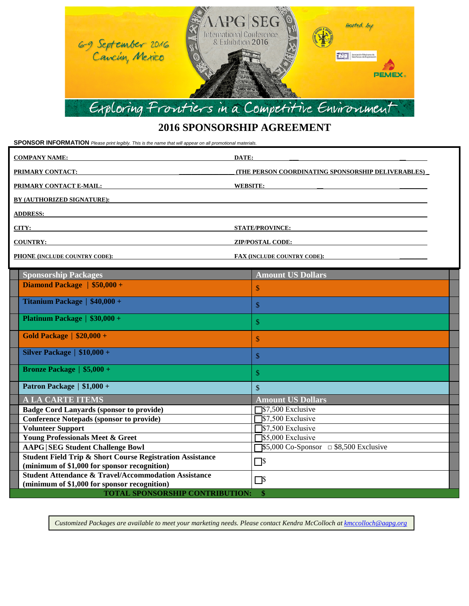

## **2016 SPONSORSHIP AGREEMENT**

**SPONSOR INFORMATION** *Please print legibly. This is the name that will appear on all promotional materials.*

| <b>COMPANY NAME:</b>                                                                                                                     | DATE:<br>the contract of the contract of the contract of the contract of the contract of the contract of the contract of |
|------------------------------------------------------------------------------------------------------------------------------------------|--------------------------------------------------------------------------------------------------------------------------|
| <b>PRIMARY CONTACT:</b>                                                                                                                  | (THE PERSON COORDINATING SPONSORSHIP DELIVERABLES)                                                                       |
| PRIMARY CONTACT E-MAIL:                                                                                                                  | <b>WEBSITE:</b>                                                                                                          |
| <b>BY (AUTHORIZED SIGNATURE):</b>                                                                                                        |                                                                                                                          |
| <b>ADDRESS:</b>                                                                                                                          |                                                                                                                          |
| CITY:                                                                                                                                    | <b>STATE/PROVINCE:</b>                                                                                                   |
| <b>COUNTRY:</b><br><u> 1989 - Jan Sterling von Berling von Berling von Berling von Berling von Berling von Berling von Berling von B</u> | <b>ZIP/POSTAL CODE:</b><br>the contract of the contract of the contract of the contract of the contract of               |
| <b>PHONE (INCLUDE COUNTRY CODE):</b>                                                                                                     | <b>FAX (INCLUDE COUNTRY CODE):</b>                                                                                       |

| <b>Sponsorship Packages</b>                                                                                          | <b>Amount US Dollars</b>                                            |  |  |
|----------------------------------------------------------------------------------------------------------------------|---------------------------------------------------------------------|--|--|
| Diamond Package $\frac{1}{50,000} +$                                                                                 | \$                                                                  |  |  |
| Titanium Package   \$40,000 +                                                                                        | \$                                                                  |  |  |
| <b>Platinum Package   <math>\$30,000 +</math></b>                                                                    | \$                                                                  |  |  |
| Gold Package   $$20,000 +$                                                                                           | \$                                                                  |  |  |
| Silver Package $\vert$ \$10,000 +                                                                                    | \$                                                                  |  |  |
| Bronze Package $  $5,000 +$                                                                                          | \$                                                                  |  |  |
| Patron Package   \$1,000 +                                                                                           | $\mathbb{S}$                                                        |  |  |
| <b>A LA CARTE ITEMS</b>                                                                                              | <b>Amount US Dollars</b>                                            |  |  |
| <b>Badge Cord Lanyards (sponsor to provide)</b>                                                                      | S7,500 Exclusive                                                    |  |  |
| <b>Conference Notepads (sponsor to provide)</b>                                                                      | \$7,500 Exclusive                                                   |  |  |
| <b>Volunteer Support</b>                                                                                             | S7,500 Exclusive                                                    |  |  |
| <b>Young Professionals Meet &amp; Greet</b>                                                                          | S5,000 Exclusive                                                    |  |  |
| <b>AAPG SEG Student Challenge Bowl</b>                                                                               | $\$\,5,000\,\text{Co-Sponsor}\quad \Box\,\$8,500\,\text{Exclusive}$ |  |  |
| <b>Student Field Trip &amp; Short Course Registration Assistance</b><br>(minimum of \$1,000 for sponsor recognition) | $\Box$ s                                                            |  |  |
| <b>Student Attendance &amp; Travel/Accommodation Assistance</b><br>(minimum of \$1,000 for sponsor recognition)      | $\Box$ s                                                            |  |  |
| <b>TOTAL SPONSORSHIP CONTRIBUTION:</b><br>\$                                                                         |                                                                     |  |  |

*Customized Packages are available to meet your marketing needs. Please contact Kendra McColloch a[t kmccolloch@aapg.org](mailto:kmccolloch@aapg.org)*